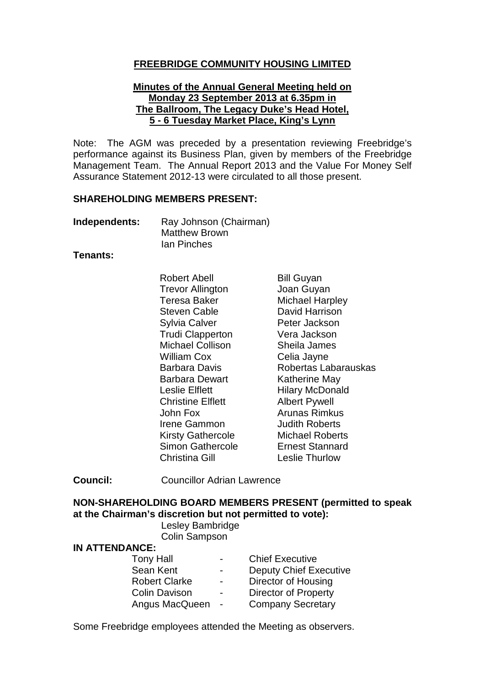## **FREEBRIDGE COMMUNITY HOUSING LIMITED**

#### **Minutes of the Annual General Meeting held on Monday 23 September 2013 at 6.35pm in The Ballroom, The Legacy Duke's Head Hotel, 5 - 6 Tuesday Market Place, King's Lynn**

Note: The AGM was preceded by a presentation reviewing Freebridge's performance against its Business Plan, given by members of the Freebridge Management Team. The Annual Report 2013 and the Value For Money Self Assurance Statement 2012-13 were circulated to all those present.

#### **SHAREHOLDING MEMBERS PRESENT:**

**Independents:** Ray Johnson (Chairman) Matthew Brown Ian Pinches

#### **Tenants:**

Robert Abell Trevor Allington Teresa Baker Steven Cable Sylvia Calver Trudi Clapperton Michael Collison William Cox Barbara Davis Barbara Dewart Leslie Elflett Christine Elflett John Fox Irene Gammon Kirsty Gathercole Simon Gathercole Christina Gill

Bill Guyan Joan Guyan Michael Harpley David Harrison Peter Jackson Vera Jackson Sheila James Celia Jayne Robertas Labarauskas Katherine May Hilary McDonald Albert Pywell Arunas Rimkus Judith Roberts Michael Roberts Ernest Stannard Leslie Thurlow

**Council:** Councillor Adrian Lawrence

### **NON-SHAREHOLDING BOARD MEMBERS PRESENT (permitted to speak at the Chairman's discretion but not permitted to vote):**

### Lesley Bambridge Colin Sampson

#### **IN ATTENDANCE:**

| <b>Tony Hall</b>     | $\blacksquare$           | <b>Chief Executive</b>        |
|----------------------|--------------------------|-------------------------------|
| Sean Kent            | $\blacksquare$           | <b>Deputy Chief Executive</b> |
| <b>Robert Clarke</b> | $\overline{\phantom{0}}$ | Director of Housing           |
| <b>Colin Davison</b> | $\blacksquare$           | <b>Director of Property</b>   |
| Angus MacQueen       | $\sim$ $-$               | <b>Company Secretary</b>      |

Some Freebridge employees attended the Meeting as observers.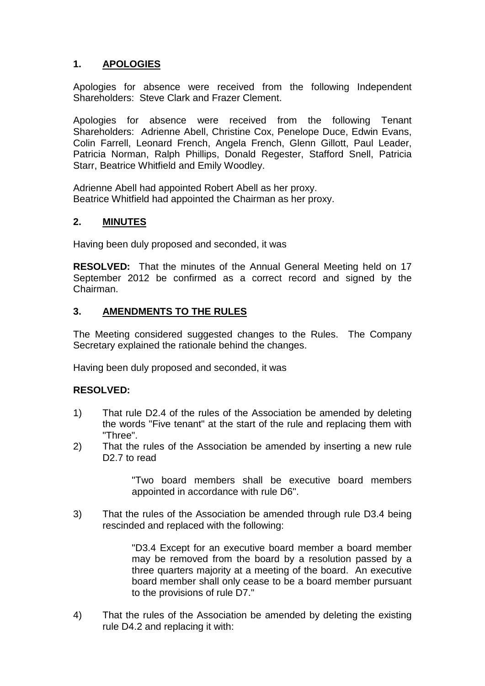# **1. APOLOGIES**

Apologies for absence were received from the following Independent Shareholders: Steve Clark and Frazer Clement.

Apologies for absence were received from the following Tenant Shareholders: Adrienne Abell, Christine Cox, Penelope Duce, Edwin Evans, Colin Farrell, Leonard French, Angela French, Glenn Gillott, Paul Leader, Patricia Norman, Ralph Phillips, Donald Regester, Stafford Snell, Patricia Starr, Beatrice Whitfield and Emily Woodley.

Adrienne Abell had appointed Robert Abell as her proxy. Beatrice Whitfield had appointed the Chairman as her proxy.

## **2. MINUTES**

Having been duly proposed and seconded, it was

**RESOLVED:** That the minutes of the Annual General Meeting held on 17 September 2012 be confirmed as a correct record and signed by the Chairman.

## **3. AMENDMENTS TO THE RULES**

The Meeting considered suggested changes to the Rules. The Company Secretary explained the rationale behind the changes.

Having been duly proposed and seconded, it was

## **RESOLVED:**

- 1) That rule D2.4 of the rules of the Association be amended by deleting the words "Five tenant" at the start of the rule and replacing them with "Three".
- 2) That the rules of the Association be amended by inserting a new rule D<sub>2</sub>.7 to read

"Two board members shall be executive board members appointed in accordance with rule D6".

3) That the rules of the Association be amended through rule D3.4 being rescinded and replaced with the following:

> "D3.4 Except for an executive board member a board member may be removed from the board by a resolution passed by a three quarters majority at a meeting of the board. An executive board member shall only cease to be a board member pursuant to the provisions of rule D7."

4) That the rules of the Association be amended by deleting the existing rule D4.2 and replacing it with: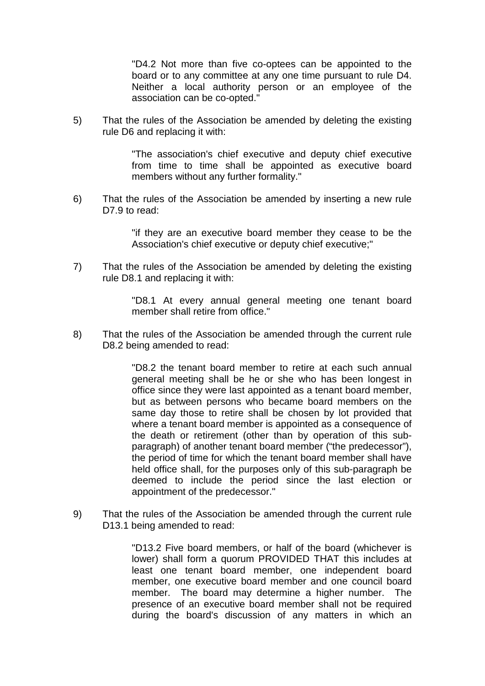"D4.2 Not more than five co-optees can be appointed to the board or to any committee at any one time pursuant to rule D4. Neither a local authority person or an employee of the association can be co-opted."

5) That the rules of the Association be amended by deleting the existing rule D6 and replacing it with:

> "The association's chief executive and deputy chief executive from time to time shall be appointed as executive board members without any further formality."

6) That the rules of the Association be amended by inserting a new rule D7.9 to read:

> "if they are an executive board member they cease to be the Association's chief executive or deputy chief executive;"

7) That the rules of the Association be amended by deleting the existing rule D8.1 and replacing it with:

> "D8.1 At every annual general meeting one tenant board member shall retire from office."

8) That the rules of the Association be amended through the current rule D8.2 being amended to read:

> "D8.2 the tenant board member to retire at each such annual general meeting shall be he or she who has been longest in office since they were last appointed as a tenant board member, but as between persons who became board members on the same day those to retire shall be chosen by lot provided that where a tenant board member is appointed as a consequence of the death or retirement (other than by operation of this subparagraph) of another tenant board member ("the predecessor"), the period of time for which the tenant board member shall have held office shall, for the purposes only of this sub-paragraph be deemed to include the period since the last election or appointment of the predecessor."

9) That the rules of the Association be amended through the current rule D13.1 being amended to read:

> "D13.2 Five board members, or half of the board (whichever is lower) shall form a quorum PROVIDED THAT this includes at least one tenant board member, one independent board member, one executive board member and one council board member. The board may determine a higher number. The presence of an executive board member shall not be required during the board's discussion of any matters in which an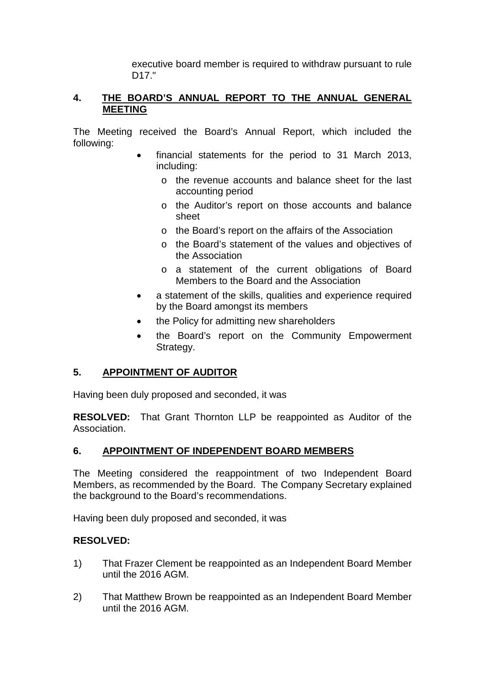executive board member is required to withdraw pursuant to rule D17."

## **4. THE BOARD'S ANNUAL REPORT TO THE ANNUAL GENERAL MEETING**

The Meeting received the Board's Annual Report, which included the following:

- financial statements for the period to 31 March 2013, including:
	- o the revenue accounts and balance sheet for the last accounting period
	- o the Auditor's report on those accounts and balance sheet
	- o the Board's report on the affairs of the Association
	- o the Board's statement of the values and objectives of the Association
	- o a statement of the current obligations of Board Members to the Board and the Association
- a statement of the skills, qualities and experience required by the Board amongst its members
- the Policy for admitting new shareholders
- the Board's report on the Community Empowerment Strategy.

### **5. APPOINTMENT OF AUDITOR**

Having been duly proposed and seconded, it was

**RESOLVED:** That Grant Thornton LLP be reappointed as Auditor of the Association.

### **6. APPOINTMENT OF INDEPENDENT BOARD MEMBERS**

The Meeting considered the reappointment of two Independent Board Members, as recommended by the Board. The Company Secretary explained the background to the Board's recommendations.

Having been duly proposed and seconded, it was

### **RESOLVED:**

- 1) That Frazer Clement be reappointed as an Independent Board Member until the 2016 AGM.
- 2) That Matthew Brown be reappointed as an Independent Board Member until the 2016 AGM.